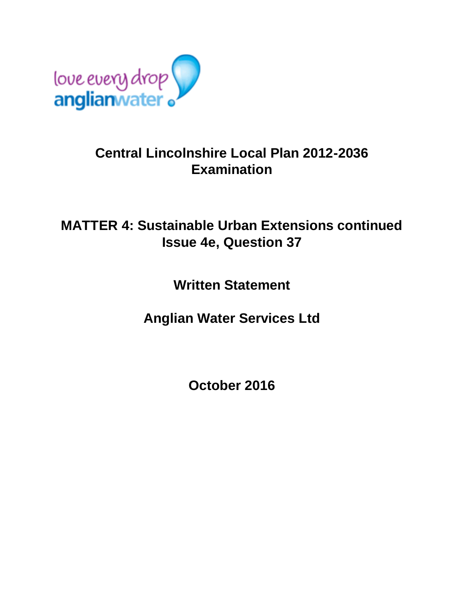

## **Central Lincolnshire Local Plan 2012-2036 Examination**

## **MATTER 4: Sustainable Urban Extensions continued Issue 4e, Question 37**

**Written Statement**

**Anglian Water Services Ltd**

**October 2016**